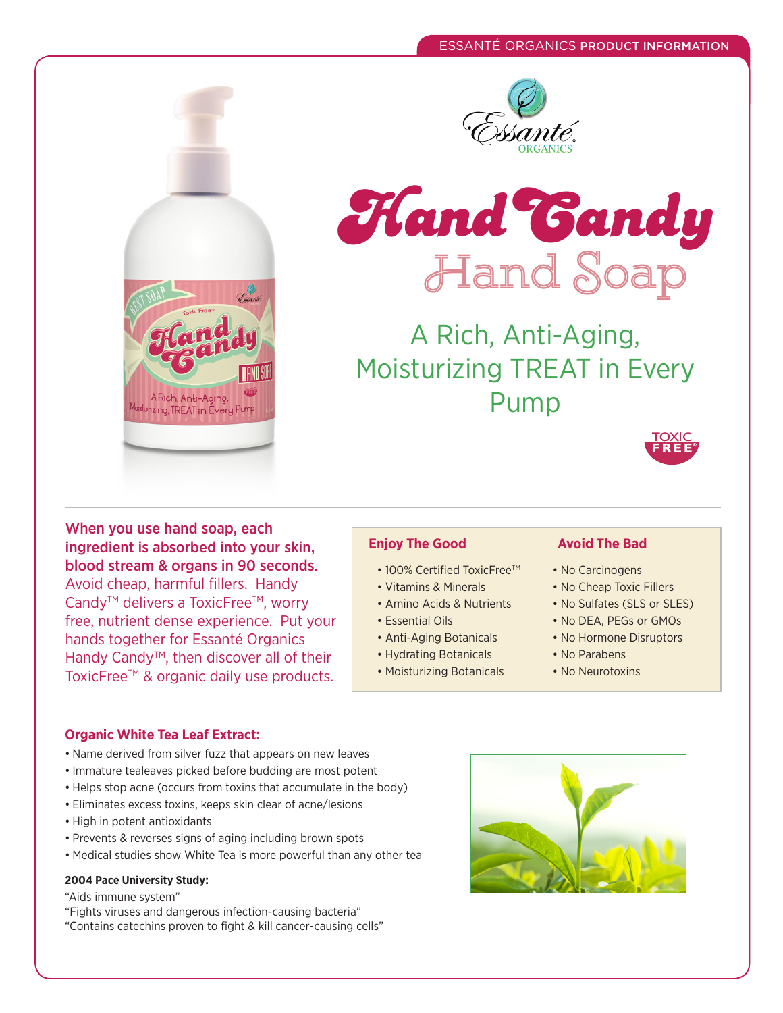





A Rich, Anti-Aging, Moisturizing TREAT in Every Pump



When you use hand soap, each ingredient is absorbed into your skin, blood stream & organs in 90 seconds. Avoid cheap, harmful fillers. Handy Candy<sup>™</sup> delivers a ToxicFree<sup>™</sup>, worry free, nutrient dense experience. Put your hands together for Essanté Organics Handy Candy<sup>™</sup>, then discover all of their ToxicFree™ & organic daily use products.

- 100% Certified ToxicFree™
- Vitamins & Minerals
- Amino Acids & Nutrients
- Essential Oils
- Anti-Aging Botanicals
- Hydrating Botanicals
- Moisturizing Botanicals

## **Enjoy The Good Avoid The Bad**

- No Carcinogens
- No Cheap Toxic Fillers
- No Sulfates (SLS or SLES)
- No DEA, PEGs or GMOs
- No Hormone Disruptors
- No Parabens
- No Neurotoxins

#### **Organic White Tea Leaf Extract:**

- Name derived from silver fuzz that appears on new leaves
- Immature tealeaves picked before budding are most potent
- Helps stop acne (occurs from toxins that accumulate in the body)
- Eliminates excess toxins, keeps skin clear of acne/lesions
- High in potent antioxidants
- Prevents & reverses signs of aging including brown spots
- Medical studies show White Tea is more powerful than any other tea

#### **2004 Pace University Study:**

"Aids immune system"

"Fights viruses and dangerous infection-causing bacteria" "Contains catechins proven to fight & kill cancer-causing cells"